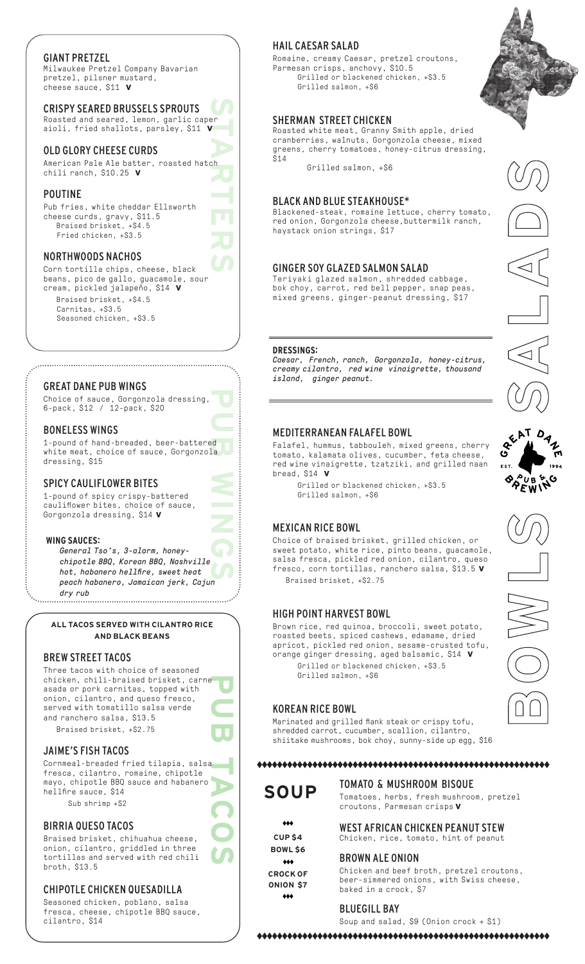## GIANT PRETZEL

Milwaukee Pretzel Company Bavarian pretzel, pilsner mustard, cheese sauce, \$11 **v**

CRISPY SEARED BRUSSELS SPROUTS

Roasted and seared, lemon, garlic caper aioli, fried shallots, parsley, \$11 **v**

## OLD GLORY CHEESE CURDS

**STARTERS** American Pale Ale batter, roasted hatch chili ranch, \$10.25 **v**

## POUTINE

Pub fries, white cheddar Ellsworth cheese curds, gravy, \$11.5 Braised brisket, +\$4.5 Fried chicken, +\$3.5

## NORTHWOODS NACHOS

Corn tortilla chips, cheese, black beans, pico de gallo, guacamole, sour cream, pickled jalapeño, \$14 **v** Braised brisket, +\$4.5 Carnitas, +\$3.5 Seasoned chicken, +\$3.5

## GREAT DANE PUB WINGS

Choice of sauce, Gorgonzola dressing, 6-pack, \$12 / 12-pack, \$20

## BONELESS WINGS

1-pound of hand-breaded, beer-battered white meat, choice of sauce, Gorgonzola dressing, \$15

## SPICY CAULIFLOWER BITES

1-pound of spicy crispy-battered cauliflower bites, choice of sauce, Gorgonzola dressing, \$14 **v**

#### **WING SAUCES:**

*General Tso's, 3-alarm, honeychipotle BBQ, Korean BBQ, Nashville hot, habanero hellfire, sweet heat peach habanero, Jamaican jerk, Cajun dry rub* 

**ALL TACOS SERVED WITH CILANTRO RICE AND BLACK BEANS**

## BREW STREET TACOS

Three tacos with choice of seasoned chicken, chili-braised brisket, carne asada or pork carnitas, topped with onion, cilantro, and queso fresco, served with tomatillo salsa verde and ranchero salsa, \$13.5 Braised brisket, +\$2.75

## JAIME'S FISH TACOS

Cornmeal-breaded fried tilapia, salsa fresca, cilantro, romaine, chipotle mayo, chipotle BBQ sauce and habanero hellfire sauce, \$14 Sub shrimp +\$2

# BIRRIA QUESO TACOS

Braised brisket, chihuahua cheese, onion, cilantro, griddled in three tortillas and served with red chili broth, \$13.5

## CHIPOTLE CHICKEN QUESADILLA

Seasoned chicken, poblano, salsa fresca, cheese, chipotle BBQ sauce, cilantro, \$14

## HAIL CAESAR SALAD

Romaine, creamy Caesar, pretzel croutons, Parmesan crisps, anchovy, \$10.5 Grilled or blackened chicken, +\$3.5 Grilled salmon, +\$6

## SHERMAN STREET CHICKEN

Roasted white meat, Granny Smith apple, dried cranberries, walnuts, Gorgonzola cheese, mixed greens, cherry tomatoes, honey-citrus dressing, \$14

Grilled salmon, +\$6

#### BLACK AND BLUE STEAKHOUSE\*

Blackened-steak, romaine lettuce, cherry tomato, red onion, Gorgonzola cheese,buttermilk ranch, haystack onion strings, \$17

## GINGER SOY GLAZED SALMON SALAD

Teriyaki glazed salmon, shredded cabbage, bok choy, carrot, red bell pepper, snap peas, mixed greens, ginger-peanut dressing, \$17

### **DRESSINGS:**

*Caesar, French, ranch, Gorgonzola, honey-citrus, creamy cilantro, red wine vinaigrette, thousand island, ginger peanut.*

## MEDITERRANEAN FALAFEL BOWL

Falafel, hummus, tabbouleh, mixed greens, cherry tomato, kalamata olives, cucumber, feta cheese, red wine vinaigrette, tzatziki, and grilled naan bread, \$14 **v**

Grilled or blackened chicken, +\$3.5 Grilled salmon, +\$6

## MEXICAN RICE BOWL

Choice of braised brisket, grilled chicken, or sweet potato, white rice, pinto beans, guacamole, salsa fresca, pickled red onion, cilantro, queso fresco, corn tortillas, ranchero salsa, \$13.5 **v** Braised brisket, +\$2.75

## HIGH POINT HARVEST BOWL

Brown rice, red quinoa, broccoli, sweet potato, roasted beets, spiced cashews, edamame, dried apricot, pickled red onion, sesame-crusted tofu, orange ginger dressing, aged balsamic, \$14 **v** Grilled or blackened chicken, +\$3.5 Grilled salmon, +\$6

## KOREAN RICE BOWL

Marinated and grilled flank steak or crispy tofu, shredded carrot, cucumber, scallion, cilantro, shiitake mushrooms, bok choy, sunny-side up egg, \$16

## 

**SOUP**

TOMATO & MUSHROOM BISQUE Tomatoes, herbs, fresh mushroom, pretzel croutons, Parmesan crisps **v** 

#### WEST AFRICAN CHICKEN PEANUT STEW Chicken, rice, tomato, hint of peanut

### BROWN ALE ONION

Chicken and beef broth, pretzel croutons, beer-simmered onions, with Swiss cheese, baked in a crock, \$7

### BLUEGILL BAY

Soup and salad, \$9 (Onion crock + \$1)













**CUP \$4**  $\dots$ 

**CROCK OF ONION \$7**  $\diamond\diamond\diamond$ 



**BOWL \$6**